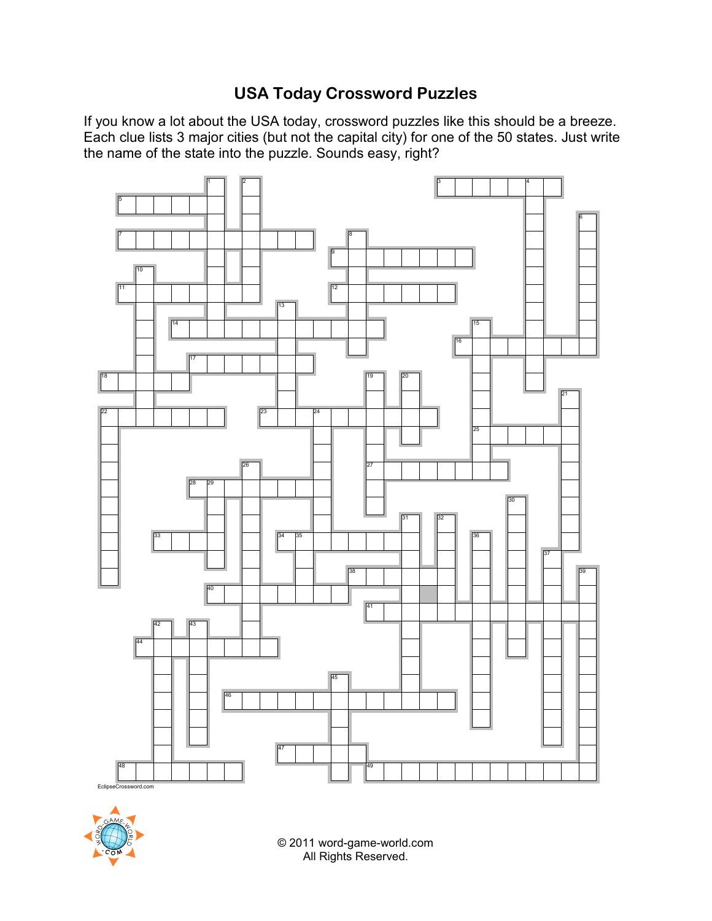## **USA Today Crossword Puzzles**

If you know a lot about the USA today, crossword puzzles like this should be a breeze. Each clue lists 3 major cities (but not the capital city) for one of the 50 states. Just write the name of the state into the puzzle. Sounds easy, right?





© 2011 word-game-world.com All Rights Reserved.